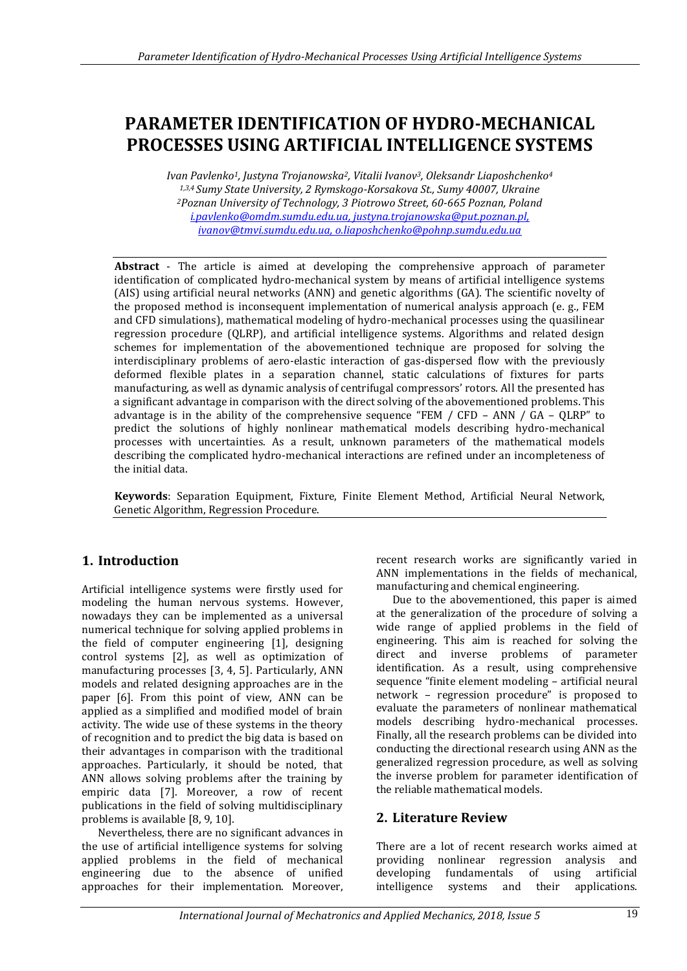# **PARAMETER IDENTIFICATION OF HYDRO-MECHANICAL PROCESSES USING ARTIFICIAL INTELLIGENCE SYSTEMS**

*Ivan Pavlenko1, Justyna Trojanowska2, Vitalii Ivanov3, Oleksandr Liaposhchenko<sup>4</sup> 1,3,4 Sumy State University, 2 Rymskogo-Korsakova St., Sumy 40007, Ukraine <sup>2</sup>Poznan University of Technology, 3 Piotrowo Street, 60-665 Poznan, Poland [i.pavlenko@omdm.sumdu.edu.ua,](mailto:i.pavlenko@omdm.sumdu.edu.ua) [justyna.trojanowska@put.poznan.pl,](mailto:justyna.trojanowska@put.poznan.pl)  [ivanov@tmvi.sumdu.edu.ua,](mailto:ivanov@tmvi.sumdu.edu.ua) o.liaposhchenko@pohnp.sumdu.edu.ua*

**Abstract** - The article is aimed at developing the comprehensive approach of parameter identification of complicated hydro-mechanical system by means of artificial intelligence systems (AIS) using artificial neural networks (ANN) and genetic algorithms (GA). The scientific novelty of the proposed method is inconsequent implementation of numerical analysis approach (e. g., FEM and CFD simulations), mathematical modeling of hydro-mechanical processes using the quasilinear regression procedure (QLRP), and artificial intelligence systems. Algorithms and related design schemes for implementation of the abovementioned technique are proposed for solving the interdisciplinary problems of aero-elastic interaction of gas-dispersed flow with the previously deformed flexible plates in a separation channel, static calculations of fixtures for parts manufacturing, as well as dynamic analysis of centrifugal compressors' rotors. All the presented has a significant advantage in comparison with the direct solving of the abovementioned problems. This advantage is in the ability of the comprehensive sequence "FEM / CFD – ANN / GA – QLRP" to predict the solutions of highly nonlinear mathematical models describing hydro-mechanical processes with uncertainties. As a result, unknown parameters of the mathematical models describing the complicated hydro-mechanical interactions are refined under an incompleteness of the initial data.

**Keywords**: Separation Equipment, Fixture, Finite Element Method, Artificial Neural Network, Genetic Algorithm, Regression Procedure.

# **1. Introduction**

Artificial intelligence systems were firstly used for modeling the human nervous systems. However, nowadays they can be implemented as a universal numerical technique for solving applied problems in the field of computer engineering [1], designing control systems [2], as well as optimization of manufacturing processes [3, 4, 5]. Particularly, ANN models and related designing approaches are in the paper [6]. From this point of view, ANN can be applied as a simplified and modified model of brain activity. The wide use of these systems in the theory of recognition and to predict the big data is based on their advantages in comparison with the traditional approaches. Particularly, it should be noted, that ANN allows solving problems after the training by empiric data [7]. Moreover, a row of recent publications in the field of solving multidisciplinary problems is available [8, 9, 10].

Nevertheless, there are no significant advances in the use of artificial intelligence systems for solving applied problems in the field of mechanical engineering due to the absence of unified approaches for their implementation. Moreover, recent research works are significantly varied in ANN implementations in the fields of mechanical, manufacturing and chemical engineering.

Due to the abovementioned, this paper is aimed at the generalization of the procedure of solving a wide range of applied problems in the field of engineering. This aim is reached for solving the direct and inverse problems of parameter identification. As a result, using comprehensive sequence "finite element modeling – artificial neural network – regression procedure" is proposed to evaluate the parameters of nonlinear mathematical models describing hydro-mechanical processes. Finally, all the research problems can be divided into conducting the directional research using ANN as the generalized regression procedure, as well as solving the inverse problem for parameter identification of the reliable mathematical models.

# **2. Literature Review**

There are a lot of recent research works aimed at providing nonlinear regression analysis and developing fundamentals of using artificial intelligence systems and their applications.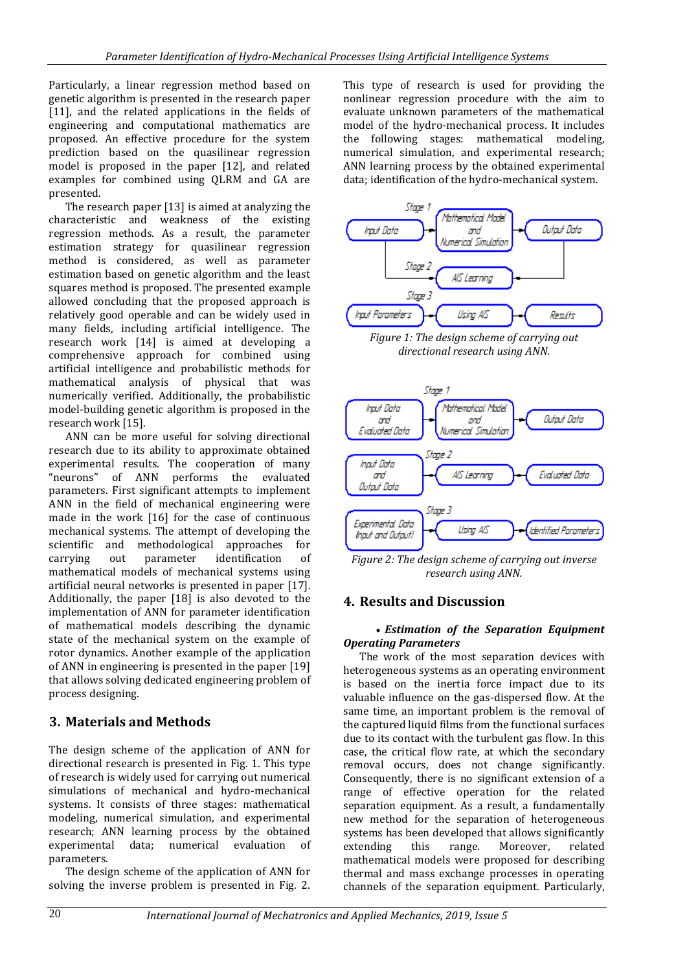Particularly, a linear regression method based on genetic algorithm is presented in the research paper [11], and the related applications in the fields of engineering and computational mathematics are proposed. An effective procedure for the system prediction based on the quasilinear regression model is proposed in the paper [12], and related examples for combined using QLRM and GA are presented.

The research paper [13] is aimed at analyzing the characteristic and weakness of the existing regression methods. As a result, the parameter estimation strategy for quasilinear regression method is considered, as well as parameter estimation based on genetic algorithm and the least squares method is proposed. The presented example allowed concluding that the proposed approach is relatively good operable and can be widely used in many fields, including artificial intelligence. The research work [14] is aimed at developing a comprehensive approach for combined using artificial intelligence and probabilistic methods for mathematical analysis of physical that was numerically verified. Additionally, the probabilistic model-building genetic algorithm is proposed in the research work [15].

ANN can be more useful for solving directional research due to its ability to approximate obtained experimental results. The cooperation of many "neurons" of ANN performs the evaluated parameters. First significant attempts to implement ANN in the field of mechanical engineering were made in the work [16] for the case of continuous mechanical systems. The attempt of developing the scientific and methodological approaches for carrying out parameter identification of mathematical models of mechanical systems using artificial neural networks is presented in paper [17]. Additionally, the paper [18] is also devoted to the implementation of ANN for parameter identification of mathematical models describing the dynamic state of the mechanical system on the example of rotor dynamics. Another example of the application of ANN in engineering is presented in the paper [19] that allows solving dedicated engineering problem of process designing.

# **3. Materials and Methods**

The design scheme of the application of ANN for directional research is presented in Fig. 1. This type of research is widely used for carrying out numerical simulations of mechanical and hydro-mechanical systems. It consists of three stages: mathematical modeling, numerical simulation, and experimental research; ANN learning process by the obtained experimental data; numerical evaluation of parameters.

The design scheme of the application of ANN for solving the inverse problem is presented in Fig. 2. This type of research is used for providing the nonlinear regression procedure with the aim to evaluate unknown parameters of the mathematical model of the hydro-mechanical process. It includes the following stages: mathematical modeling, numerical simulation, and experimental research; ANN learning process by the obtained experimental data; identification of the hydro-mechanical system.



*Figure 1: The design scheme of carrying out directional research using ANN.*



*Figure 2: The design scheme of carrying out inverse research using ANN.*

### **4. Results and Discussion**

### *Estimation of the Separation Equipment Operating Parameters*

The work of the most separation devices with heterogeneous systems as an operating environment is based on the inertia force impact due to its valuable influence on the gas-dispersed flow. At the same time, an important problem is the removal of the captured liquid films from the functional surfaces due to its contact with the turbulent gas flow. In this case, the critical flow rate, at which the secondary removal occurs, does not change significantly. Consequently, there is no significant extension of a range of effective operation for the related separation equipment. As a result, a fundamentally new method for the separation of heterogeneous systems has been developed that allows significantly extending this range. Moreover, related mathematical models were proposed for describing thermal and mass exchange processes in operating channels of the separation equipment. Particularly,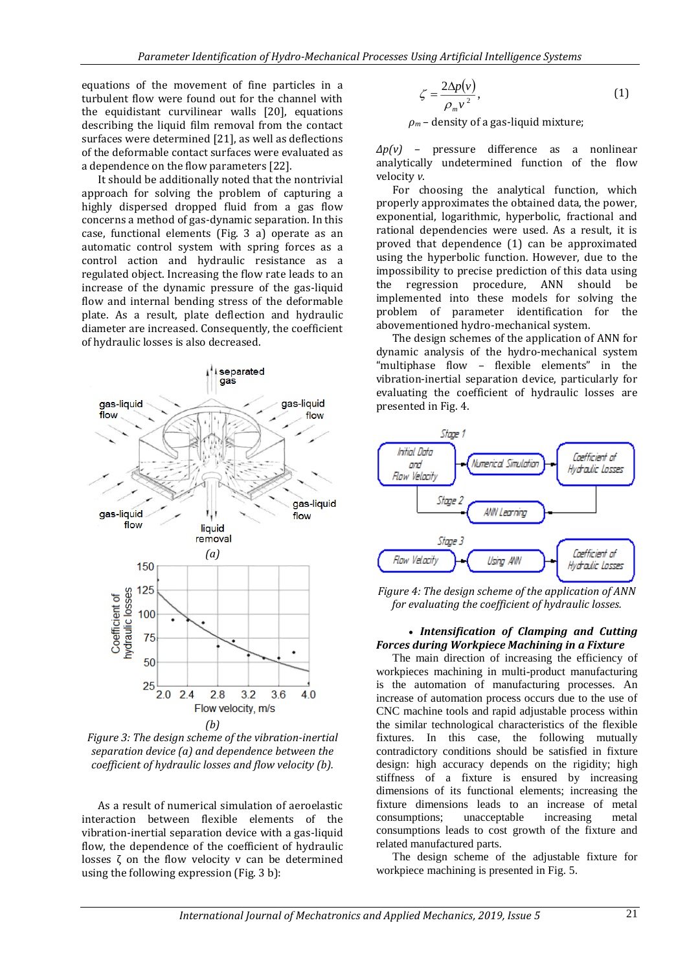equations of the movement of fine particles in a turbulent flow were found out for the channel with the equidistant curvilinear walls [20], equations describing the liquid film removal from the contact surfaces were determined [21], as well as deflections of the deformable contact surfaces were evaluated as a dependence on the flow parameters [22].

It should be additionally noted that the nontrivial approach for solving the problem of capturing a highly dispersed dropped fluid from a gas flow concerns a method of gas-dynamic separation. In this case, functional elements (Fig. 3 a) operate as an automatic control system with spring forces as a control action and hydraulic resistance as a regulated object. Increasing the flow rate leads to an increase of the dynamic pressure of the gas-liquid flow and internal bending stress of the deformable plate. As a result, plate deflection and hydraulic diameter are increased. Consequently, the coefficient of hydraulic losses is also decreased.



*Figure 3: The design scheme of the vibration-inertial separation device (a) and dependence between the coefficient of hydraulic losses and flow velocity (b).*

As a result of numerical simulation of aeroelastic interaction between flexible elements of the vibration-inertial separation device with a gas-liquid flow, the dependence of the coefficient of hydraulic losses ζ on the flow velocity v can be determined using the following expression (Fig. 3 b):

$$
\zeta = \frac{2\Delta p(v)}{\rho_m v^2},\tag{1}
$$

*ρ<sup>m</sup>* – density of a gas-liquid mixture;

*Δp(v)* – pressure difference as a nonlinear analytically undetermined function of the flow velocity *v*.

For choosing the analytical function, which properly approximates the obtained data, the power, exponential, logarithmic, hyperbolic, fractional and rational dependencies were used. As a result, it is proved that dependence (1) can be approximated using the hyperbolic function. However, due to the impossibility to precise prediction of this data using the regression procedure, ANN should be implemented into these models for solving the problem of parameter identification for the abovementioned hydro-mechanical system.

The design schemes of the application of ANN for dynamic analysis of the hydro-mechanical system "multiphase flow – flexible elements" in the vibration-inertial separation device, particularly for evaluating the coefficient of hydraulic losses are presented in Fig. 4.



*Figure 4: The design scheme of the application of ANN for evaluating the coefficient of hydraulic losses.*

#### *Intensification of Clamping and Cutting Forces during Workpiece Machining in a Fixture*

The main direction of increasing the efficiency of workpieces machining in multi-product manufacturing is the automation of manufacturing processes. An increase of automation process occurs due to the use of CNC machine tools and rapid adjustable process within the similar technological characteristics of the flexible fixtures. In this case, the following mutually contradictory conditions should be satisfied in fixture design: high accuracy depends on the rigidity; high stiffness of a fixture is ensured by increasing dimensions of its functional elements; increasing the fixture dimensions leads to an increase of metal consumptions; unacceptable increasing metal consumptions leads to cost growth of the fixture and related manufactured parts.

The design scheme of the adjustable fixture for workpiece machining is presented in Fig. 5.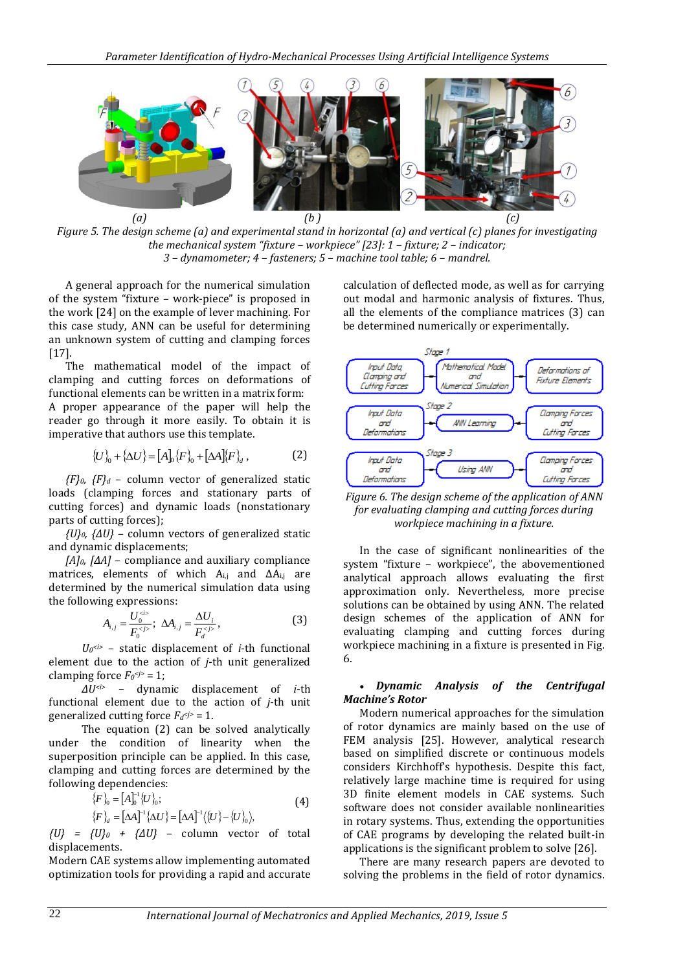

*Figure 5. The design scheme (a) and experimental stand in horizontal (a) and vertical (c) planes for investigating the mechanical system "fixture – workpiece" [23]: 1 – fixture; 2 – indicator; 3 – dynamometer; 4 – fasteners; 5 – machine tool table; 6 – mandrel.*

A general approach for the numerical simulation of the system "fixture – work-piece" is proposed in the work [24] on the example of lever machining. For this case study, ANN can be useful for determining an unknown system of cutting and clamping forces [17].

The mathematical model of the impact of clamping and cutting forces on deformations of functional elements can be written in a matrix form: A proper appearance of the paper will help the reader go through it more easily. To obtain it is imperative that authors use this template.

$$
\{U\}_0 + \{\Delta U\} = [A]_0 \{F\}_0 + [\Delta A] \{F\}_d,
$$
 (2)

*{F}0, {F}<sup>d</sup>* – column vector of generalized static loads (clamping forces and stationary parts of cutting forces) and dynamic loads (nonstationary parts of cutting forces);

*{U}0, {ΔU}* – column vectors of generalized static and dynamic displacements;

*[A]0, [ΔA]* – compliance and auxiliary compliance matrices, elements of which  $A_{i,j}$  and  $\Delta A_{i,j}$  are determined by the numerical simulation data using the following expressions:

$$
A_{i,j} = \frac{U_0^{0}}{F_0^{0}}; \ \Delta A_{i,j} = \frac{\Delta U_i}{F_d^{0}}.
$$
 (3)

 $U_0 \leq t$  – static displacement of *i*-th functional element due to the action of *j*-th unit generalized clamping force  $F_0 \leq y \leq 1$ ;

*ΔU<i>* – dynamic displacement of *i*-th functional element due to the action of *j*-th unit generalized cutting force  $F_d \leq 1$ .

The equation (2) can be solved analytically under the condition of linearity when the superposition principle can be applied. In this case, clamping and cutting forces are determined by the following dependencies:

$$
\{F\}_{0} = [A]_{0}^{-1} \{U\}_{0};
$$
\n
$$
\{F\}_{d} = [\Delta A]^{-1} \{\Delta U\} = [\Delta A]^{-1} \langle \{U\} - \{U\}_{0} \rangle,
$$
\n(4)

*{U} = {U}<sup>0</sup> + {ΔU}* – column vector of total displacements.

Modern CAE systems allow implementing automated optimization tools for providing a rapid and accurate

calculation of deflected mode, as well as for carrying out modal and harmonic analysis of fixtures. Thus, all the elements of the compliance matrices (3) can be determined numerically or experimentally.



*Figure 6. The design scheme of the application of ANN for evaluating clamping and cutting forces during workpiece machining in a fixture.*

In the case of significant nonlinearities of the system "fixture – workpiece", the abovementioned analytical approach allows evaluating the first approximation only. Nevertheless, more precise solutions can be obtained by using ANN. The related design schemes of the application of ANN for evaluating clamping and cutting forces during workpiece machining in a fixture is presented in Fig. 6.

#### *Dynamic Analysis of the Centrifugal Machine's Rotor*

Modern numerical approaches for the simulation of rotor dynamics are mainly based on the use of FEM analysis [25]. However, analytical research based on simplified discrete or continuous models considers Kirchhoff's hypothesis. Despite this fact, relatively large machine time is required for using 3D finite element models in CAE systems. Such software does not consider available nonlinearities in rotary systems. Thus, extending the opportunities of CAE programs by developing the related built-in applications is the significant problem to solve [26].

There are many research papers are devoted to solving the problems in the field of rotor dynamics.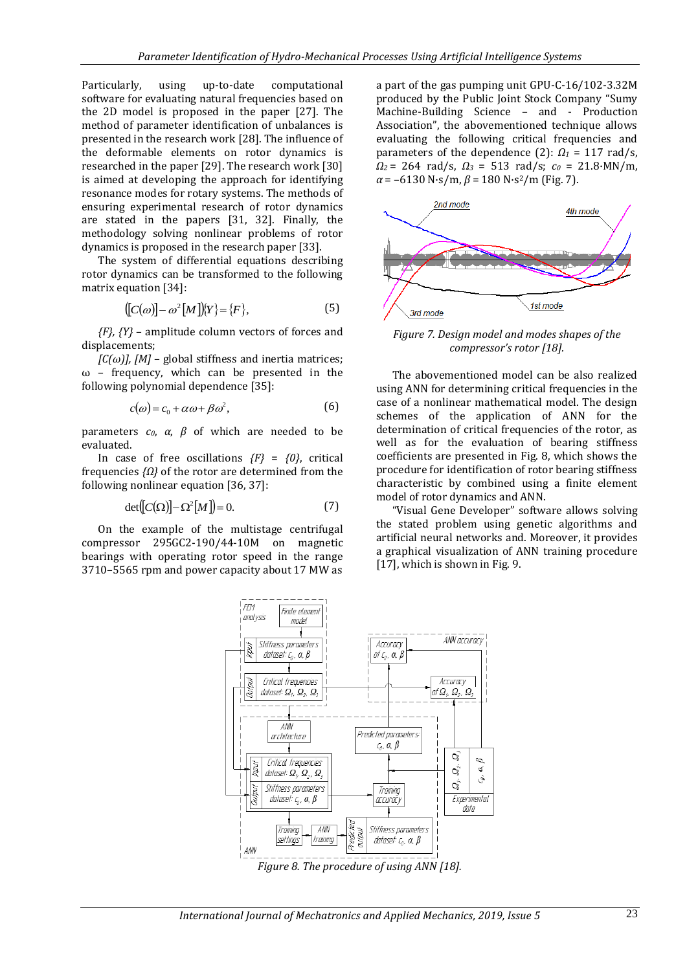Particularly, using up-to-date computational software for evaluating natural frequencies based on the 2D model is proposed in the paper [27]. The method of parameter identification of unbalances is presented in the research work [28]. The influence of the deformable elements on rotor dynamics is researched in the paper [29]. The research work [30] is aimed at developing the approach for identifying resonance modes for rotary systems. The methods of ensuring experimental research of rotor dynamics are stated in the papers [31, 32]. Finally, the methodology solving nonlinear problems of rotor dynamics is proposed in the research paper [33].

The system of differential equations describing rotor dynamics can be transformed to the following matrix equation [34]:

$$
([C(\omega)] - \omega^2 [M])\!\{Y\} = \{F\},\tag{5}
$$

*{F}, {Y}* – amplitude column vectors of forces and displacements;

 $[C(\omega)]$ ,  $[M]$  – global stiffness and inertia matrices;  $ω$  – frequency, which can be presented in the following polynomial dependence [35]:

$$
c(\omega) = c_0 + \alpha \omega + \beta \omega^2, \tag{6}
$$

parameters *c0*, *α*, *β* of which are needed to be evaluated.

In case of free oscillations *{F}* = *{0}*, critical frequencies *{Ω}* of the rotor are determined from the following nonlinear equation [36, 37]:

$$
\det([C(\Omega)] - \Omega^2[M]) = 0. \tag{7}
$$

On the example of the multistage centrifugal compressor 295GC2-190/44-10M on magnetic bearings with operating rotor speed in the range 3710–5565 rpm and power capacity about 17 MW as

a part of the gas pumping unit GPU-C-16/102-3.32M produced by the Public Joint Stock Company "Sumy Machine-Building Science – and - Production Association", the abovementioned technique allows evaluating the following critical frequencies and parameters of the dependence (2):  $\Omega_1 = 117$  rad/s, *Ω<sup>2</sup>* = 264 rad/s, *Ω<sup>3</sup>* = 513 rad/s; *c<sup>0</sup>* = 21.8·MN/m,  $\alpha$  = –6130 N·s/m,  $\beta$  = 180 N·s<sup>2</sup>/m (Fig. 7).



*Figure 7. Design model and modes shapes of the compressor's rotor [18].*

The abovementioned model can be also realized using ANN for determining critical frequencies in the case of a nonlinear mathematical model. The design schemes of the application of ANN for the determination of critical frequencies of the rotor, as well as for the evaluation of bearing stiffness coefficients are presented in Fig. 8, which shows the procedure for identification of rotor bearing stiffness characteristic by combined using a finite element model of rotor dynamics and ANN.

"Visual Gene Developer" software allows solving the stated problem using genetic algorithms and artificial neural networks and. Moreover, it provides a graphical visualization of ANN training procedure [17], which is shown in Fig. 9.



*Figure 8. The procedure of using ANN [18].*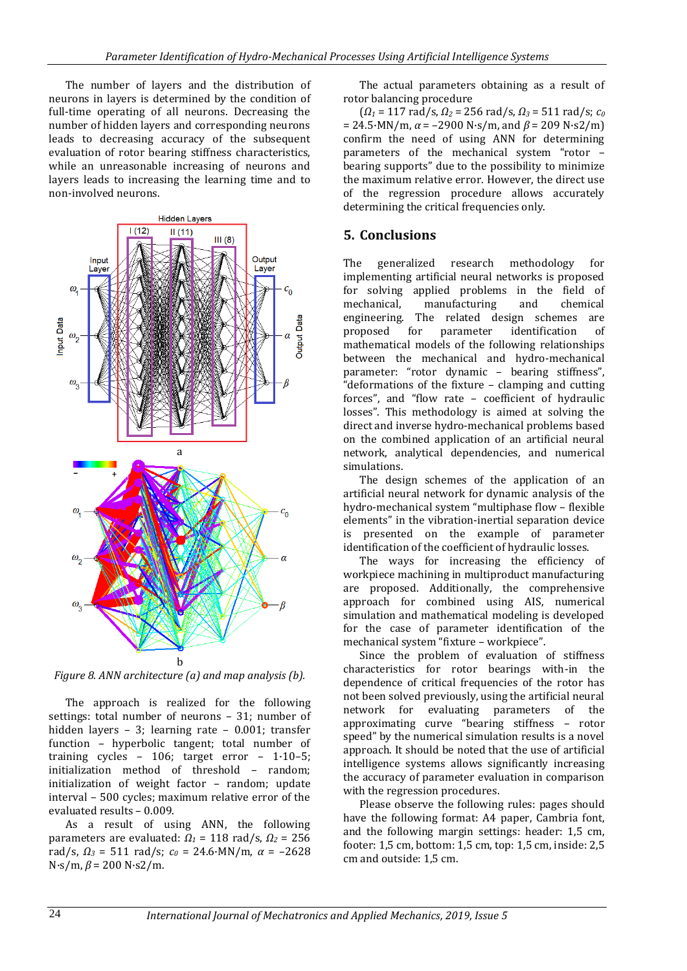The number of layers and the distribution of neurons in layers is determined by the condition of full-time operating of all neurons. Decreasing the number of hidden layers and corresponding neurons leads to decreasing accuracy of the subsequent evaluation of rotor bearing stiffness characteristics, while an unreasonable increasing of neurons and layers leads to increasing the learning time and to non-involved neurons.



*Figure 8. ANN architecture (a) and map analysis (b).*

The approach is realized for the following settings: total number of neurons – 31; number of hidden layers – 3; learning rate – 0.001; transfer function – hyperbolic tangent; total number of training cycles – 106; target error – 1·10–5; initialization method of threshold – random; initialization of weight factor – random; update interval – 500 cycles; maximum relative error of the evaluated results – 0.009.

As a result of using ANN, the following parameters are evaluated: *Ω<sup>1</sup>* = 118 rad/s, *Ω<sup>2</sup>* = 256 rad/s, *Ω<sup>3</sup>* = 511 rad/s; *c<sup>0</sup>* = 24.6·MN/m, *α* = –2628 N·s/m, *β* = 200 N·s2/m.

The actual parameters obtaining as a result of rotor balancing procedure

(*Ω<sup>1</sup>* = 117 rad/s, *Ω<sup>2</sup>* = 256 rad/s, *Ω<sup>3</sup>* = 511 rad/s; *c<sup>0</sup>*  $= 24.5$ ·MN/m,  $\alpha = -2900$  N·s/m, and  $\beta = 209$  N·s2/m) confirm the need of using ANN for determining parameters of the mechanical system "rotor – bearing supports" due to the possibility to minimize the maximum relative error. However, the direct use of the regression procedure allows accurately determining the critical frequencies only.

### **5. Conclusions**

The generalized research methodology for implementing artificial neural networks is proposed for solving applied problems in the field of mechanical, manufacturing and chemical engineering. The related design schemes are proposed for parameter identification of mathematical models of the following relationships between the mechanical and hydro-mechanical parameter: "rotor dynamic – bearing stiffness", "deformations of the fixture – clamping and cutting forces", and "flow rate – coefficient of hydraulic losses". This methodology is aimed at solving the direct and inverse hydro-mechanical problems based on the combined application of an artificial neural network, analytical dependencies, and numerical simulations.

The design schemes of the application of an artificial neural network for dynamic analysis of the hydro-mechanical system "multiphase flow – flexible elements" in the vibration-inertial separation device is presented on the example of parameter identification of the coefficient of hydraulic losses.

The ways for increasing the efficiency of workpiece machining in multiproduct manufacturing are proposed. Additionally, the comprehensive approach for combined using AIS, numerical simulation and mathematical modeling is developed for the case of parameter identification of the mechanical system "fixture – workpiece".

Since the problem of evaluation of stiffness characteristics for rotor bearings with-in the dependence of critical frequencies of the rotor has not been solved previously, using the artificial neural network for evaluating parameters of the approximating curve "bearing stiffness – rotor speed" by the numerical simulation results is a novel approach. It should be noted that the use of artificial intelligence systems allows significantly increasing the accuracy of parameter evaluation in comparison with the regression procedures.

Please observe the following rules: pages should have the following format: A4 paper, Cambria font, and the following margin settings: header: 1,5 cm, footer: 1,5 cm, bottom: 1,5 cm, top: 1,5 cm, inside: 2,5 cm and outside: 1,5 cm.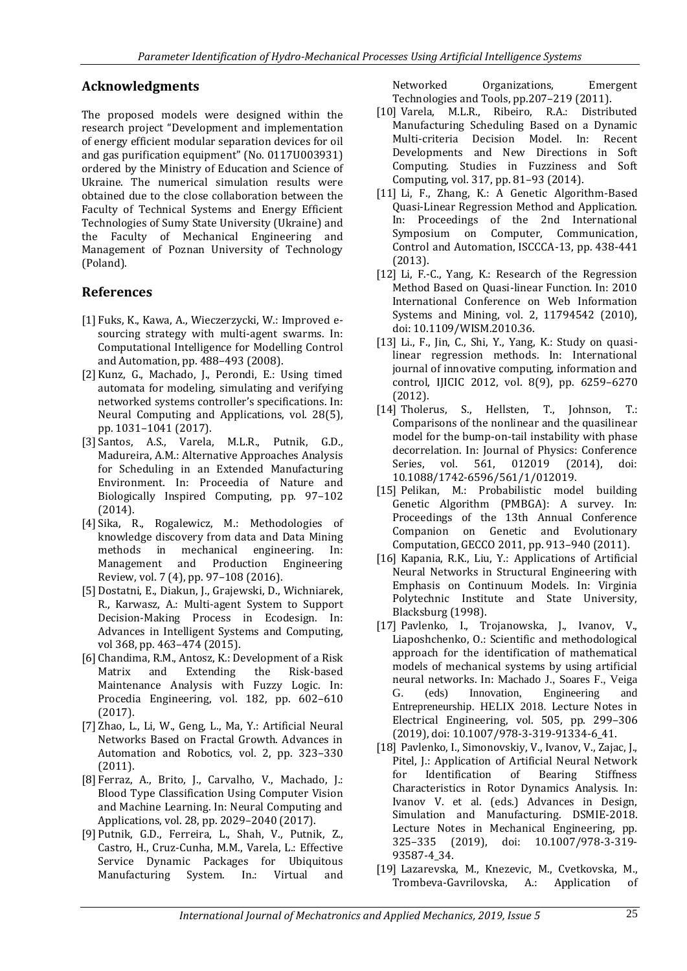### **Acknowledgments**

The proposed models were designed within the research project "Development and implementation of energy efficient modular separation devices for oil and gas purification equipment" (No. 0117U003931) ordered by the Ministry of Education and Science of Ukraine. The numerical simulation results were obtained due to the close collaboration between the Faculty of Technical Systems and Energy Efficient Technologies of Sumy State University (Ukraine) and the Faculty of Mechanical Engineering and Management of Poznan University of Technology (Poland).

### **References**

- [1] Fuks, K., Kawa, A., Wieczerzycki, W.: Improved esourcing strategy with multi-agent swarms. In: Computational Intelligence for Modelling Control and Automation, pp. 488–493 (2008).
- [2] Kunz, G., Machado, J., Perondi, E.: Using timed automata for modeling, simulating and verifying networked systems controller's specifications. In: Neural Computing and Applications, vol. 28(5), pp. 1031–1041 (2017).
- [3] Santos, A.S., Varela, M.L.R., Putnik, G.D., Madureira, A.M.: Alternative Approaches Analysis for Scheduling in an Extended Manufacturing Environment. In: Proceedia of Nature and Biologically Inspired Computing, pp. 97–102 (2014).
- [4] Sika, R., Rogalewicz, M.: Methodologies of knowledge discovery from data and Data Mining methods in mechanical engineering. In: Management and Production Engineering Review, vol. 7 (4), pp. 97–108 (2016).
- [5] Dostatni, E., Diakun, J., Grajewski, D., Wichniarek, R., Karwasz, A.: Multi-agent System to Support Decision-Making Process in Ecodesign. In: Advances in Intelligent Systems and Computing, vol 368, pp. 463–474 (2015).
- [6] Chandima, R.M., Antosz, K.: Development of a Risk Matrix and Extending the Risk-based Maintenance Analysis with Fuzzy Logic. In: Procedia Engineering, vol. 182, pp. 602–610 (2017).
- [7] Zhao, L., Li, W., Geng, L., Ma, Y.: Artificial Neural Networks Based on Fractal Growth. Advances in Automation and Robotics, vol. 2, pp. 323–330 (2011).
- [8] Ferraz, A., Brito, J., Carvalho, V., Machado, J.: Blood Type Classification Using Computer Vision and Machine Learning. In: Neural Computing and Applications, vol. 28, pp. 2029–2040 (2017).
- [9] Putnik, G.D., Ferreira, L., Shah, V., Putnik, Z., Castro, H., Cruz-Cunha, M.M., Varela, L.: Effective Service Dynamic Packages for Ubiquitous Manufacturing System. In.: Virtual and

Networked Organizations, Emergent Technologies and Tools, pp.207–219 (2011).

- [10] Varela, M.L.R., Ribeiro, R.A.: Distributed Manufacturing Scheduling Based on a Dynamic Multi-criteria Decision Model. In: Recent Developments and New Directions in Soft Computing. Studies in Fuzziness and Soft Computing, vol. 317, pp. 81–93 (2014).
- [11] Li, F., Zhang, K.: A Genetic Algorithm-Based Quasi-Linear Regression Method and Application. In: Proceedings of the 2nd International Symposium on Computer, Communication, Control and Automation, ISCCCA-13, pp. 438-441 (2013).
- [12] Li, F.-C., Yang, K.: Research of the Regression Method Based on Quasi-linear Function. In: 2010 International Conference on Web Information Systems and Mining, vol. 2, 11794542 (2010), doi: 10.1109/WISM.2010.36.
- [13] Li., F., Jin, C., Shi, Y., Yang, K.: Study on quasilinear regression methods. In: International journal of innovative computing, information and control, IJICIC 2012, vol. 8(9), pp. 6259–6270 (2012).
- [14] Tholerus, S., Hellsten, T., Johnson, T.: Comparisons of the nonlinear and the quasilinear model for the bump-on-tail instability with phase decorrelation. In: Journal of Physics: Conference Series, vol. 561, 012019 (2014), doi: 10.1088/1742-6596/561/1/012019.
- [15] Pelikan, M.: Probabilistic model building Genetic Algorithm (PMBGA): A survey. In: Proceedings of the 13th Annual Conference Companion on Genetic and Evolutionary Computation, GECCO 2011, pp. 913–940 (2011).
- [16] Kapania, R.K., Liu, Y.: Applications of Artificial Neural Networks in Structural Engineering with Emphasis on Continuum Models. In: Virginia Polytechnic Institute and State University, Blacksburg (1998).
- [17] Pavlenko, I., Trojanowska, J., Ivanov, V., Liaposhchenko, O.: Scientific and methodological approach for the identification of mathematical models of mechanical systems by using artificial neural networks. In: Machado J., Soares F., Veiga G. (eds) Innovation, Engineering and Entrepreneurship. HELIX 2018. Lecture Notes in Electrical Engineering, vol. 505, pp. 299–306 (2019), doi: 10.1007/978-3-319-91334-6\_41.
- [18] Pavlenko, I., Simonovskiy, V., Ivanov, V., Zajac, J., Pitel, J.: Application of Artificial Neural Network for Identification of Bearing Stiffness Characteristics in Rotor Dynamics Analysis. In: Ivanov V. et al. (eds.) Advances in Design, Simulation and Manufacturing. DSMIE-2018. Lecture Notes in Mechanical Engineering, pp. 325–335 (2019), doi: 10.1007/978-3-319- 93587-4\_34.
- [19] Lazarevska, M., Knezevic, M., Cvetkovska, M., Trombeva-Gavrilovska, A.: Application of